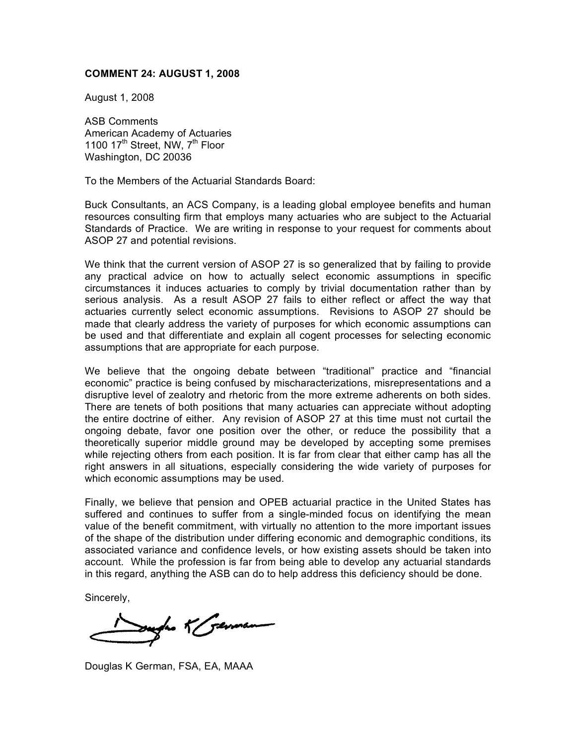## **COMMENT 24: AUGUST 1, 2008**

August 1, 2008

ASB Comments American Academy of Actuaries 1100 17<sup>th</sup> Street, NW, 7<sup>th</sup> Floor Washington, DC 20036

To the Members of the Actuarial Standards Board:

Buck Consultants, an ACS Company, is a leading global employee benefits and human resources consulting firm that employs many actuaries who are subject to the Actuarial Standards of Practice. We are writing in response to your request for comments about ASOP 27 and potential revisions.

We think that the current version of ASOP 27 is so generalized that by failing to provide any practical advice on how to actually select economic assumptions in specific circumstances it induces actuaries to comply by trivial documentation rather than by serious analysis. As a result ASOP 27 fails to either reflect or affect the way that actuaries currently select economic assumptions. Revisions to ASOP 27 should be made that clearly address the variety of purposes for which economic assumptions can be used and that differentiate and explain all cogent processes for selecting economic assumptions that are appropriate for each purpose.

We believe that the ongoing debate between "traditional" practice and "financial economic" practice is being confused by mischaracterizations, misrepresentations and a disruptive level of zealotry and rhetoric from the more extreme adherents on both sides. There are tenets of both positions that many actuaries can appreciate without adopting the entire doctrine of either. Any revision of ASOP 27 at this time must not curtail the ongoing debate, favor one position over the other, or reduce the possibility that a theoretically superior middle ground may be developed by accepting some premises while rejecting others from each position. It is far from clear that either camp has all the right answers in all situations, especially considering the wide variety of purposes for which economic assumptions may be used.

Finally, we believe that pension and OPEB actuarial practice in the United States has suffered and continues to suffer from a single-minded focus on identifying the mean value of the benefit commitment, with virtually no attention to the more important issues of the shape of the distribution under differing economic and demographic conditions, its associated variance and confidence levels, or how existing assets should be taken into account. While the profession is far from being able to develop any actuarial standards in this regard, anything the ASB can do to help address this deficiency should be done.

Sincerely,

Surfac K Serman

Douglas K German, FSA, EA, MAAA